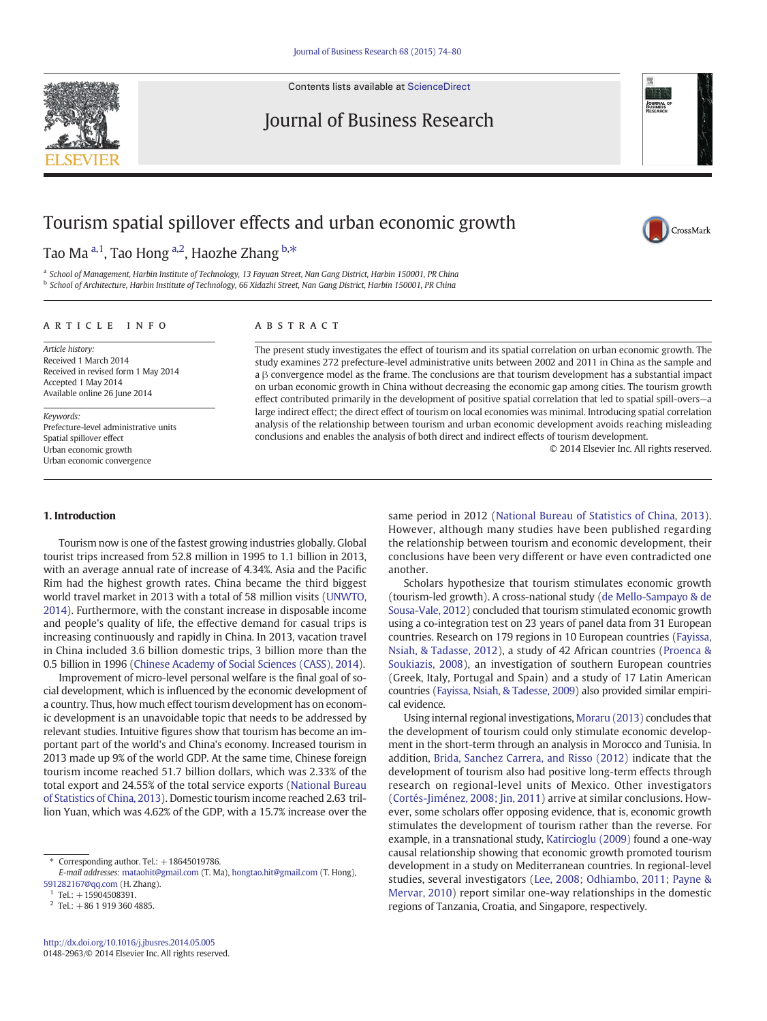Contents lists available at [ScienceDirect](http://www.sciencedirect.com/science/journal/01482963)



Journal of Business Research

CrossMark

# Tourism spatial spillover effects and urban economic growth

Tao Ma <sup>a,1</sup>, Tao Hong <sup>a,2</sup>, Haozhe Zhang <sup>b,\*</sup>

a School of Management, Harbin Institute of Technology, 13 Fayuan Street, Nan Gang District, Harbin 150001, PR China <sup>b</sup> School of Architecture, Harbin Institute of Technology, 66 Xidazhi Street, Nan Gang District, Harbin 150001, PR China

article info abstract

Article history: Received 1 March 2014 Received in revised form 1 May 2014 Accepted 1 May 2014 Available online 26 June 2014

Keywords: Prefecture-level administrative units Spatial spillover effect Urban economic growth Urban economic convergence

The present study investigates the effect of tourism and its spatial correlation on urban economic growth. The study examines 272 prefecture-level administrative units between 2002 and 2011 in China as the sample and a β convergence model as the frame. The conclusions are that tourism development has a substantial impact on urban economic growth in China without decreasing the economic gap among cities. The tourism growth effect contributed primarily in the development of positive spatial correlation that led to spatial spill-overs—a large indirect effect; the direct effect of tourism on local economies was minimal. Introducing spatial correlation analysis of the relationship between tourism and urban economic development avoids reaching misleading conclusions and enables the analysis of both direct and indirect effects of tourism development.

© 2014 Elsevier Inc. All rights reserved.

## 1. Introduction

Tourism now is one of the fastest growing industries globally. Global tourist trips increased from 52.8 million in 1995 to 1.1 billion in 2013, with an average annual rate of increase of 4.34%. Asia and the Pacific Rim had the highest growth rates. China became the third biggest world travel market in 2013 with a total of 58 million visits [\(UNWTO,](#page--1-0) [2014\)](#page--1-0). Furthermore, with the constant increase in disposable income and people's quality of life, the effective demand for casual trips is increasing continuously and rapidly in China. In 2013, vacation travel in China included 3.6 billion domestic trips, 3 billion more than the 0.5 billion in 1996 [\(Chinese Academy of Social Sciences \(CASS\), 2014\)](#page--1-0).

Improvement of micro-level personal welfare is the final goal of social development, which is influenced by the economic development of a country. Thus, how much effect tourism development has on economic development is an unavoidable topic that needs to be addressed by relevant studies. Intuitive figures show that tourism has become an important part of the world's and China's economy. Increased tourism in 2013 made up 9% of the world GDP. At the same time, Chinese foreign tourism income reached 51.7 billion dollars, which was 2.33% of the total export and 24.55% of the total service exports ([National Bureau](#page--1-0) [of Statistics of China, 2013\)](#page--1-0). Domestic tourism income reached 2.63 trillion Yuan, which was 4.62% of the GDP, with a 15.7% increase over the

 $*$  Corresponding author. Tel.:  $+18645019786$ .

same period in 2012 [\(National Bureau of Statistics of China, 2013](#page--1-0)). However, although many studies have been published regarding the relationship between tourism and economic development, their conclusions have been very different or have even contradicted one another.

Scholars hypothesize that tourism stimulates economic growth (tourism-led growth). A cross-national study ([de Mello-Sampayo & de](#page--1-0) [Sousa-Vale, 2012\)](#page--1-0) concluded that tourism stimulated economic growth using a co-integration test on 23 years of panel data from 31 European countries. Research on 179 regions in 10 European countries ([Fayissa,](#page--1-0) [Nsiah, & Tadasse, 2012\)](#page--1-0), a study of 42 African countries [\(Proenca &](#page--1-0) [Soukiazis, 2008\)](#page--1-0), an investigation of southern European countries (Greek, Italy, Portugal and Spain) and a study of 17 Latin American countries [\(Fayissa, Nsiah, & Tadesse, 2009](#page--1-0)) also provided similar empirical evidence.

Using internal regional investigations, [Moraru \(2013\)](#page--1-0) concludes that the development of tourism could only stimulate economic development in the short-term through an analysis in Morocco and Tunisia. In addition, [Brida, Sanchez Carrera, and Risso \(2012\)](#page--1-0) indicate that the development of tourism also had positive long-term effects through research on regional-level units of Mexico. Other investigators [\(Cortés-Jiménez, 2008; Jin, 2011](#page--1-0)) arrive at similar conclusions. However, some scholars offer opposing evidence, that is, economic growth stimulates the development of tourism rather than the reverse. For example, in a transnational study, [Katircioglu \(2009\)](#page--1-0) found a one-way causal relationship showing that economic growth promoted tourism development in a study on Mediterranean countries. In regional-level studies, several investigators ([Lee, 2008; Odhiambo, 2011; Payne &](#page--1-0) [Mervar, 2010](#page--1-0)) report similar one-way relationships in the domestic regions of Tanzania, Croatia, and Singapore, respectively.

E-mail addresses: [mataohit@gmail.com](mailto:mataohit@gmail.com) (T. Ma), [hongtao.hit@gmail.com](mailto:hongtao.hit@gmail.com) (T. Hong), [591282167@qq.com](mailto:591282167@qq.com) (H. Zhang).

 $1$  Tel.: +15904508391.

 $2$  Tel.: +86 1 919 360 4885.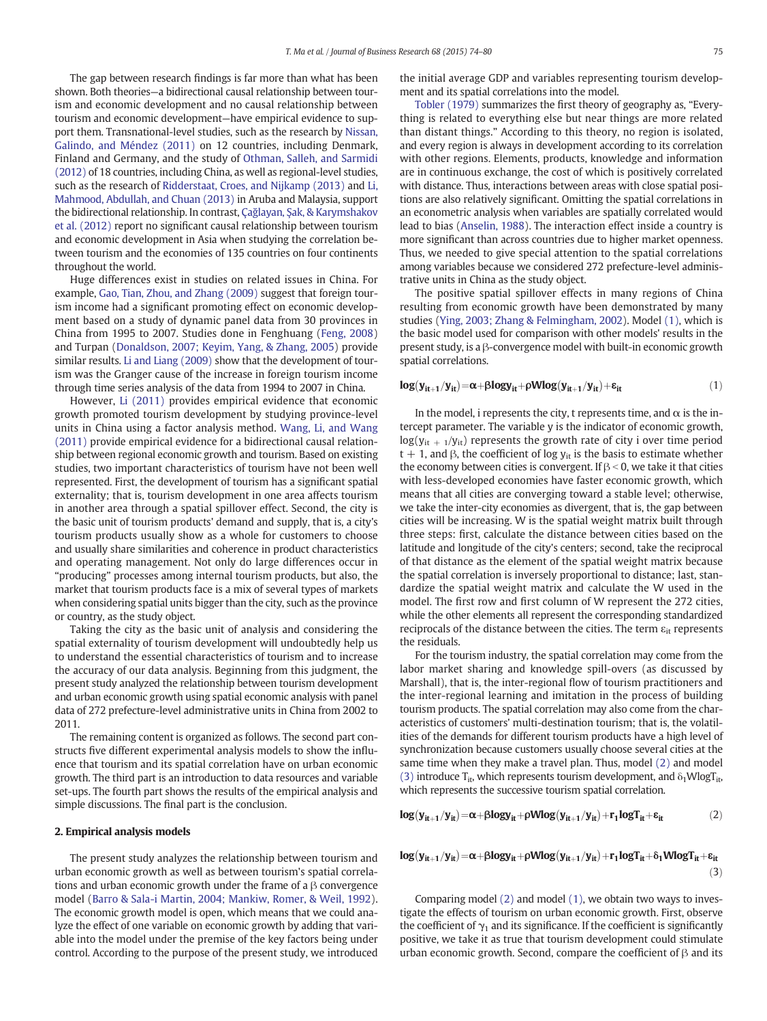The gap between research findings is far more than what has been shown. Both theories—a bidirectional causal relationship between tourism and economic development and no causal relationship between tourism and economic development—have empirical evidence to support them. Transnational-level studies, such as the research by [Nissan,](#page--1-0) [Galindo, and Méndez \(2011\)](#page--1-0) on 12 countries, including Denmark, Finland and Germany, and the study of [Othman, Salleh, and Sarmidi](#page--1-0) [\(2012\)](#page--1-0) of 18 countries, including China, as well as regional-level studies, such as the research of [Ridderstaat, Croes, and Nijkamp \(2013\)](#page--1-0) and [Li,](#page--1-0) [Mahmood, Abdullah, and Chuan \(2013\)](#page--1-0) in Aruba and Malaysia, support the bidirectional relationship. In contrast, Çağlayan, Ş[ak, & Karymshakov](#page--1-0) [et al. \(2012\)](#page--1-0) report no significant causal relationship between tourism and economic development in Asia when studying the correlation between tourism and the economies of 135 countries on four continents throughout the world.

Huge differences exist in studies on related issues in China. For example, [Gao, Tian, Zhou, and Zhang \(2009\)](#page--1-0) suggest that foreign tourism income had a significant promoting effect on economic development based on a study of dynamic panel data from 30 provinces in China from 1995 to 2007. Studies done in Fenghuang [\(Feng, 2008](#page--1-0)) and Turpan [\(Donaldson, 2007; Keyim, Yang, & Zhang, 2005\)](#page--1-0) provide similar results. [Li and Liang \(2009\)](#page--1-0) show that the development of tourism was the Granger cause of the increase in foreign tourism income through time series analysis of the data from 1994 to 2007 in China.

However, [Li \(2011\)](#page--1-0) provides empirical evidence that economic growth promoted tourism development by studying province-level units in China using a factor analysis method. [Wang, Li, and Wang](#page--1-0) [\(2011\)](#page--1-0) provide empirical evidence for a bidirectional causal relationship between regional economic growth and tourism. Based on existing studies, two important characteristics of tourism have not been well represented. First, the development of tourism has a significant spatial externality; that is, tourism development in one area affects tourism in another area through a spatial spillover effect. Second, the city is the basic unit of tourism products' demand and supply, that is, a city's tourism products usually show as a whole for customers to choose and usually share similarities and coherence in product characteristics and operating management. Not only do large differences occur in "producing" processes among internal tourism products, but also, the market that tourism products face is a mix of several types of markets when considering spatial units bigger than the city, such as the province or country, as the study object.

Taking the city as the basic unit of analysis and considering the spatial externality of tourism development will undoubtedly help us to understand the essential characteristics of tourism and to increase the accuracy of our data analysis. Beginning from this judgment, the present study analyzed the relationship between tourism development and urban economic growth using spatial economic analysis with panel data of 272 prefecture-level administrative units in China from 2002 to 2011.

The remaining content is organized as follows. The second part constructs five different experimental analysis models to show the influence that tourism and its spatial correlation have on urban economic growth. The third part is an introduction to data resources and variable set-ups. The fourth part shows the results of the empirical analysis and simple discussions. The final part is the conclusion.

### 2. Empirical analysis models

The present study analyzes the relationship between tourism and urban economic growth as well as between tourism's spatial correlations and urban economic growth under the frame of a β convergence model ([Barro & Sala-i Martin, 2004; Mankiw, Romer, & Weil, 1992](#page--1-0)). The economic growth model is open, which means that we could analyze the effect of one variable on economic growth by adding that variable into the model under the premise of the key factors being under control. According to the purpose of the present study, we introduced the initial average GDP and variables representing tourism development and its spatial correlations into the model.

[Tobler \(1979\)](#page--1-0) summarizes the first theory of geography as, "Everything is related to everything else but near things are more related than distant things." According to this theory, no region is isolated, and every region is always in development according to its correlation with other regions. Elements, products, knowledge and information are in continuous exchange, the cost of which is positively correlated with distance. Thus, interactions between areas with close spatial positions are also relatively significant. Omitting the spatial correlations in an econometric analysis when variables are spatially correlated would lead to bias ([Anselin, 1988](#page--1-0)). The interaction effect inside a country is more significant than across countries due to higher market openness. Thus, we needed to give special attention to the spatial correlations among variables because we considered 272 prefecture-level administrative units in China as the study object.

The positive spatial spillover effects in many regions of China resulting from economic growth have been demonstrated by many studies ([Ying, 2003; Zhang & Felmingham, 2002\)](#page--1-0). Model (1), which is the basic model used for comparison with other models' results in the present study, is a β-convergence model with built-in economic growth spatial correlations.

$$
log(y_{it+1}/y_{it}) = \alpha + \beta logy_{it} + \rho Wlog(y_{it+1}/y_{it}) + \epsilon_{it}
$$
 (1)

In the model, i represents the city, t represents time, and  $\alpha$  is the intercept parameter. The variable y is the indicator of economic growth,  $log(y_{it + 1}/y_{it})$  represents the growth rate of city i over time period t + 1, and  $\beta$ , the coefficient of log  $y_{it}$  is the basis to estimate whether the economy between cities is convergent. If  $\beta < 0$ , we take it that cities with less-developed economies have faster economic growth, which means that all cities are converging toward a stable level; otherwise, we take the inter-city economies as divergent, that is, the gap between cities will be increasing. W is the spatial weight matrix built through three steps: first, calculate the distance between cities based on the latitude and longitude of the city's centers; second, take the reciprocal of that distance as the element of the spatial weight matrix because the spatial correlation is inversely proportional to distance; last, standardize the spatial weight matrix and calculate the W used in the model. The first row and first column of W represent the 272 cities, while the other elements all represent the corresponding standardized reciprocals of the distance between the cities. The term  $\varepsilon_{it}$  represents the residuals.

For the tourism industry, the spatial correlation may come from the labor market sharing and knowledge spill-overs (as discussed by Marshall), that is, the inter-regional flow of tourism practitioners and the inter-regional learning and imitation in the process of building tourism products. The spatial correlation may also come from the characteristics of customers' multi-destination tourism; that is, the volatilities of the demands for different tourism products have a high level of synchronization because customers usually choose several cities at the same time when they make a travel plan. Thus, model (2) and model (3) introduce  $T_{it}$ , which represents tourism development, and  $\delta_1 W \log T_{it}$ , which represents the successive tourism spatial correlation.

$$
log(y_{it+1}/y_{it}) = \alpha + \beta logy_{it} + \rho Wlog(y_{it+1}/y_{it}) + r_1 logT_{it} + \epsilon_{it} \tag{2}
$$

$$
log(y_{it+1}/y_{it}) = \alpha + \beta logy_{it} + \rho Wlog(y_{it+1}/y_{it}) + r_1 logT_{it} + \delta_1 WlogT_{it} + \epsilon_{it}
$$
\n(3)

Comparing model (2) and model (1), we obtain two ways to investigate the effects of tourism on urban economic growth. First, observe the coefficient of  $\gamma_1$  and its significance. If the coefficient is significantly positive, we take it as true that tourism development could stimulate urban economic growth. Second, compare the coefficient of  $\beta$  and its